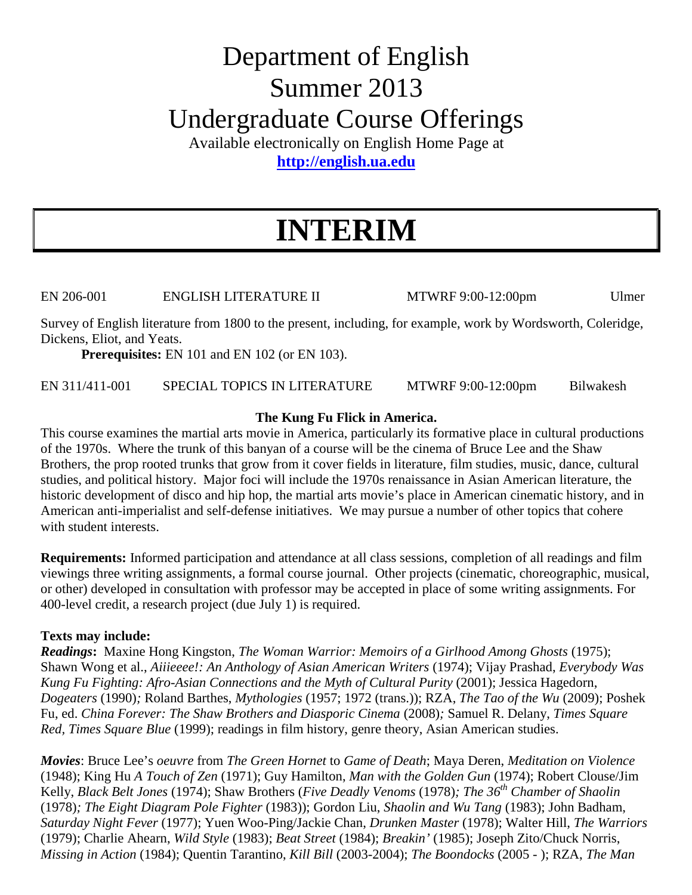# Department of English Summer 2013 Undergraduate Course Offerings

Available electronically on English Home Page at **http://english.ua.edu**

# **INTERIM**

EN 206-001 ENGLISH LITERATURE II MTWRF 9:00-12:00pm Ulmer

Survey of English literature from 1800 to the present, including, for example, work by Wordsworth, Coleridge, Dickens, Eliot, and Yeats.

**Prerequisites:** EN 101 and EN 102 (or EN 103).

EN 311/411-001 SPECIAL TOPICS IN LITERATURE MTWRF 9:00-12:00pm Bilwakesh

# **The Kung Fu Flick in America.**

This course examines the martial arts movie in America, particularly its formative place in cultural productions of the 1970s. Where the trunk of this banyan of a course will be the cinema of Bruce Lee and the Shaw Brothers, the prop rooted trunks that grow from it cover fields in literature, film studies, music, dance, cultural studies, and political history. Major foci will include the 1970s renaissance in Asian American literature, the historic development of disco and hip hop, the martial arts movie's place in American cinematic history, and in American anti-imperialist and self-defense initiatives. We may pursue a number of other topics that cohere with student interests.

**Requirements:** Informed participation and attendance at all class sessions, completion of all readings and film viewings three writing assignments, a formal course journal. Other projects (cinematic, choreographic, musical, or other) developed in consultation with professor may be accepted in place of some writing assignments. For 400-level credit, a research project (due July 1) is required.

# **Texts may include:**

*Readings***:** Maxine Hong Kingston, *The Woman Warrior: Memoirs of a Girlhood Among Ghosts* (1975); Shawn Wong et al., *Aiiieeee!: An Anthology of Asian American Writers* (1974); Vijay Prashad, *Everybody Was Kung Fu Fighting: Afro-Asian Connections and the Myth of Cultural Purity* (2001); Jessica Hagedorn, *Dogeaters* (1990)*;* Roland Barthes, *Mythologies* (1957; 1972 (trans.)); RZA, *The Tao of the Wu* (2009); Poshek Fu, ed. *China Forever: The Shaw Brothers and Diasporic Cinema* (2008)*;* Samuel R. Delany, *Times Square Red, Times Square Blue* (1999); readings in film history, genre theory, Asian American studies.

*Movies*: Bruce Lee's *oeuvre* from *The Green Hornet* to *Game of Death*; Maya Deren, *Meditation on Violence*  (1948); King Hu *A Touch of Zen* (1971); Guy Hamilton, *Man with the Golden Gun* (1974); Robert Clouse/Jim Kelly, *Black Belt Jones* (1974); Shaw Brothers (*Five Deadly Venoms* (1978)*; The 36th Chamber of Shaolin*  (1978)*; The Eight Diagram Pole Fighter* (1983)); Gordon Liu, *Shaolin and Wu Tang* (1983); John Badham, *Saturday Night Fever* (1977); Yuen Woo-Ping/Jackie Chan, *Drunken Master* (1978); Walter Hill, *The Warriors*  (1979); Charlie Ahearn, *Wild Style* (1983); *Beat Street* (1984); *Breakin'* (1985); Joseph Zito/Chuck Norris, *Missing in Action* (1984); Quentin Tarantino, *Kill Bill* (2003-2004); *The Boondocks* (2005 - ); RZA, *The Man*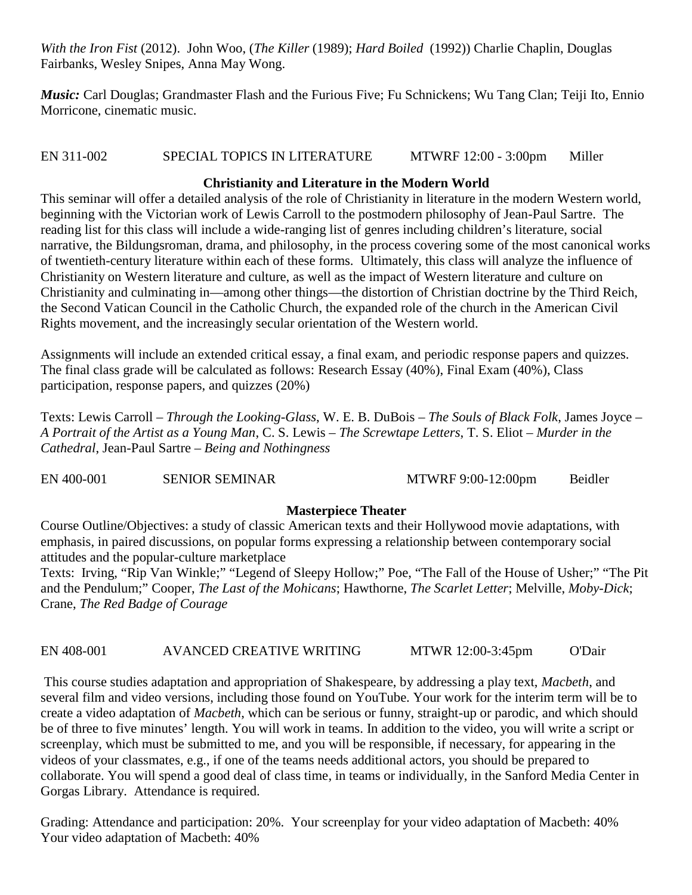*With the Iron Fist* (2012). John Woo, (*The Killer* (1989); *Hard Boiled* (1992)) Charlie Chaplin, Douglas Fairbanks, Wesley Snipes, Anna May Wong.

*Music: Carl Douglas; Grandmaster Flash and the Furious Five; Fu Schnickens; Wu Tang Clan; Teiji Ito, Ennio* Morricone, cinematic music.

# EN 311-002 SPECIAL TOPICS IN LITERATURE MTWRF 12:00 - 3:00pm Miller

# **Christianity and Literature in the Modern World**

This seminar will offer a detailed analysis of the role of Christianity in literature in the modern Western world, beginning with the Victorian work of Lewis Carroll to the postmodern philosophy of Jean-Paul Sartre. The reading list for this class will include a wide-ranging list of genres including children's literature, social narrative, the Bildungsroman, drama, and philosophy, in the process covering some of the most canonical works of twentieth-century literature within each of these forms. Ultimately, this class will analyze the influence of Christianity on Western literature and culture, as well as the impact of Western literature and culture on Christianity and culminating in—among other things—the distortion of Christian doctrine by the Third Reich, the Second Vatican Council in the Catholic Church, the expanded role of the church in the American Civil Rights movement, and the increasingly secular orientation of the Western world.

Assignments will include an extended critical essay, a final exam, and periodic response papers and quizzes. The final class grade will be calculated as follows: Research Essay (40%), Final Exam (40%), Class participation, response papers, and quizzes (20%)

Texts: Lewis Carroll – *Through the Looking-Glass*, W. E. B. DuBois – *The Souls of Black Folk*, James Joyce – *A Portrait of the Artist as a Young Man*, C. S. Lewis – *The Screwtape Letters*, T. S. Eliot – *Murder in the Cathedral*, Jean-Paul Sartre – *Being and Nothingness*

EN 400-001 SENIOR SEMINAR MTWRF 9:00-12:00pm Beidler

# **Masterpiece Theater**

Course Outline/Objectives: a study of classic American texts and their Hollywood movie adaptations, with emphasis, in paired discussions, on popular forms expressing a relationship between contemporary social attitudes and the popular-culture marketplace

Texts: Irving, "Rip Van Winkle;" "Legend of Sleepy Hollow;" Poe, "The Fall of the House of Usher;" "The Pit and the Pendulum;" Cooper, *The Last of the Mohicans*; Hawthorne, *The Scarlet Letter*; Melville, *Moby-Dick*; Crane, *The Red Badge of Courage*

EN 408-001 AVANCED CREATIVE WRITING MTWR 12:00-3:45pm O'Dair

This course studies adaptation and appropriation of Shakespeare, by addressing a play text, *Macbeth*, and several film and video versions, including those found on YouTube. Your work for the interim term will be to create a video adaptation of *Macbeth*, which can be serious or funny, straight-up or parodic, and which should be of three to five minutes' length. You will work in teams. In addition to the video, you will write a script or screenplay, which must be submitted to me, and you will be responsible, if necessary, for appearing in the videos of your classmates, e.g., if one of the teams needs additional actors, you should be prepared to collaborate. You will spend a good deal of class time, in teams or individually, in the Sanford Media Center in Gorgas Library. Attendance is required.

Grading: Attendance and participation: 20%. Your screenplay for your video adaptation of Macbeth: 40% Your video adaptation of Macbeth: 40%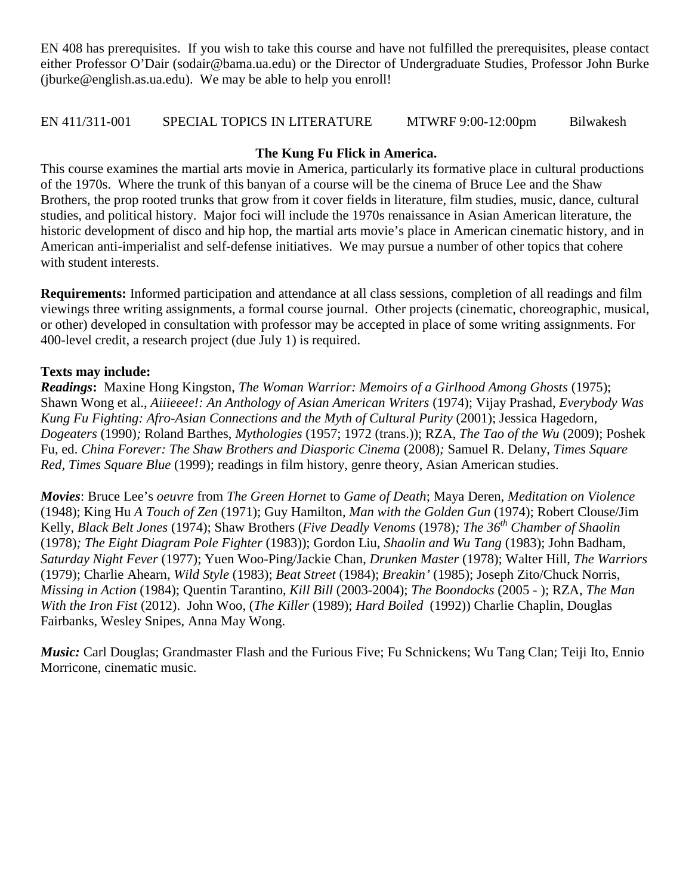EN 408 has prerequisites. If you wish to take this course and have not fulfilled the prerequisites, please contact either Professor O'Dair (sodair@bama.ua.edu) or the Director of Undergraduate Studies, Professor John Burke (jburke@english.as.ua.edu). We may be able to help you enroll!

### EN 411/311-001 SPECIAL TOPICS IN LITERATURE MTWRF 9:00-12:00pm Bilwakesh

### **The Kung Fu Flick in America.**

This course examines the martial arts movie in America, particularly its formative place in cultural productions of the 1970s. Where the trunk of this banyan of a course will be the cinema of Bruce Lee and the Shaw Brothers, the prop rooted trunks that grow from it cover fields in literature, film studies, music, dance, cultural studies, and political history. Major foci will include the 1970s renaissance in Asian American literature, the historic development of disco and hip hop, the martial arts movie's place in American cinematic history, and in American anti-imperialist and self-defense initiatives. We may pursue a number of other topics that cohere with student interests.

**Requirements:** Informed participation and attendance at all class sessions, completion of all readings and film viewings three writing assignments, a formal course journal. Other projects (cinematic, choreographic, musical, or other) developed in consultation with professor may be accepted in place of some writing assignments. For 400-level credit, a research project (due July 1) is required.

#### **Texts may include:**

*Readings***:** Maxine Hong Kingston, *The Woman Warrior: Memoirs of a Girlhood Among Ghosts* (1975); Shawn Wong et al., *Aiiieeee!: An Anthology of Asian American Writers* (1974); Vijay Prashad, *Everybody Was Kung Fu Fighting: Afro-Asian Connections and the Myth of Cultural Purity* (2001); Jessica Hagedorn, *Dogeaters* (1990)*;* Roland Barthes, *Mythologies* (1957; 1972 (trans.)); RZA, *The Tao of the Wu* (2009); Poshek Fu, ed. *China Forever: The Shaw Brothers and Diasporic Cinema* (2008)*;* Samuel R. Delany, *Times Square Red, Times Square Blue* (1999); readings in film history, genre theory, Asian American studies.

*Movies*: Bruce Lee's *oeuvre* from *The Green Hornet* to *Game of Death*; Maya Deren, *Meditation on Violence*  (1948); King Hu *A Touch of Zen* (1971); Guy Hamilton, *Man with the Golden Gun* (1974); Robert Clouse/Jim Kelly, *Black Belt Jones* (1974); Shaw Brothers (*Five Deadly Venoms* (1978)*; The 36th Chamber of Shaolin*  (1978)*; The Eight Diagram Pole Fighter* (1983)); Gordon Liu, *Shaolin and Wu Tang* (1983); John Badham, *Saturday Night Fever* (1977); Yuen Woo-Ping/Jackie Chan, *Drunken Master* (1978); Walter Hill, *The Warriors*  (1979); Charlie Ahearn, *Wild Style* (1983); *Beat Street* (1984); *Breakin'* (1985); Joseph Zito/Chuck Norris, *Missing in Action* (1984); Quentin Tarantino, *Kill Bill* (2003-2004); *The Boondocks* (2005 - ); RZA, *The Man With the Iron Fist* (2012). John Woo, (*The Killer* (1989); *Hard Boiled* (1992)) Charlie Chaplin, Douglas Fairbanks, Wesley Snipes, Anna May Wong.

*Music:* Carl Douglas; Grandmaster Flash and the Furious Five; Fu Schnickens; Wu Tang Clan; Teiji Ito, Ennio Morricone, cinematic music.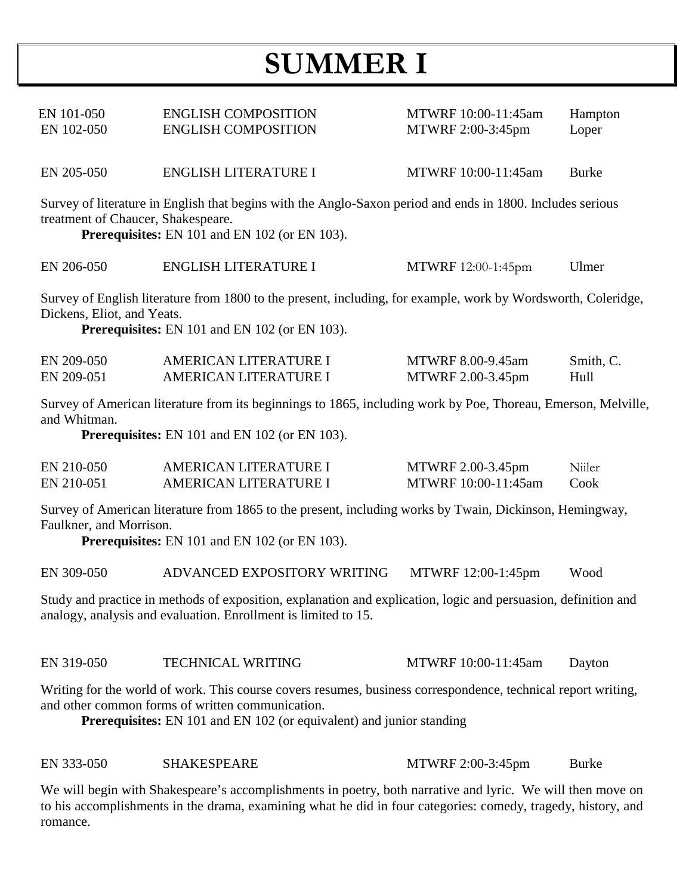# **SUMMER I**

| EN 101-050<br>EN 102-050                                                                                                                                                                                 | <b>ENGLISH COMPOSITION</b><br><b>ENGLISH COMPOSITION</b> | MTWRF 10:00-11:45am<br>MTWRF 2:00-3:45pm | Hampton<br>Loper  |
|----------------------------------------------------------------------------------------------------------------------------------------------------------------------------------------------------------|----------------------------------------------------------|------------------------------------------|-------------------|
| EN 205-050                                                                                                                                                                                               | <b>ENGLISH LITERATURE I</b>                              | MTWRF 10:00-11:45am                      | <b>Burke</b>      |
| Survey of literature in English that begins with the Anglo-Saxon period and ends in 1800. Includes serious<br>treatment of Chaucer, Shakespeare.<br><b>Prerequisites:</b> EN 101 and EN 102 (or EN 103). |                                                          |                                          |                   |
| EN 206-050                                                                                                                                                                                               | <b>ENGLISH LITERATURE I</b>                              | MTWRF 12:00-1:45pm                       | Ulmer             |
| Survey of English literature from 1800 to the present, including, for example, work by Wordsworth, Coleridge,<br>Dickens, Eliot, and Yeats.<br><b>Prerequisites:</b> EN 101 and EN 102 (or EN 103).      |                                                          |                                          |                   |
| EN 209-050<br>EN 209-051                                                                                                                                                                                 | AMERICAN LITERATURE I<br>AMERICAN LITERATURE I           | MTWRF 8.00-9.45am<br>MTWRF 2.00-3.45pm   | Smith, C.<br>Hull |
| Survey of American literature from its beginnings to 1865, including work by Poe, Thoreau, Emerson, Melville,<br>and Whitman.                                                                            |                                                          |                                          |                   |

**Prerequisites:** EN 101 and EN 102 (or EN 103).

| EN 210-050 | AMERICAN LITERATURE I | MTWRF 2.00-3.45pm   | Niiler |
|------------|-----------------------|---------------------|--------|
| EN 210-051 | AMERICAN LITERATURE I | MTWRF 10:00-11:45am | Cook   |

Survey of American literature from 1865 to the present, including works by Twain, Dickinson, Hemingway, Faulkner, and Morrison.

**Prerequisites:** EN 101 and EN 102 (or EN 103).

EN 309-050 ADVANCED EXPOSITORY WRITING MTWRF 12:00-1:45pm Wood

Study and practice in methods of exposition, explanation and explication, logic and persuasion, definition and analogy, analysis and evaluation. Enrollment is limited to 15.

EN 319-050 TECHNICAL WRITING MTWRF 10:00-11:45am Dayton

Writing for the world of work. This course covers resumes, business correspondence, technical report writing, and other common forms of written communication.

**Prerequisites:** EN 101 and EN 102 (or equivalent) and junior standing

EN 333-050 SHAKESPEARE MTWRF 2:00-3:45pm Burke

We will begin with Shakespeare's accomplishments in poetry, both narrative and lyric. We will then move on to his accomplishments in the drama, examining what he did in four categories: comedy, tragedy, history, and romance.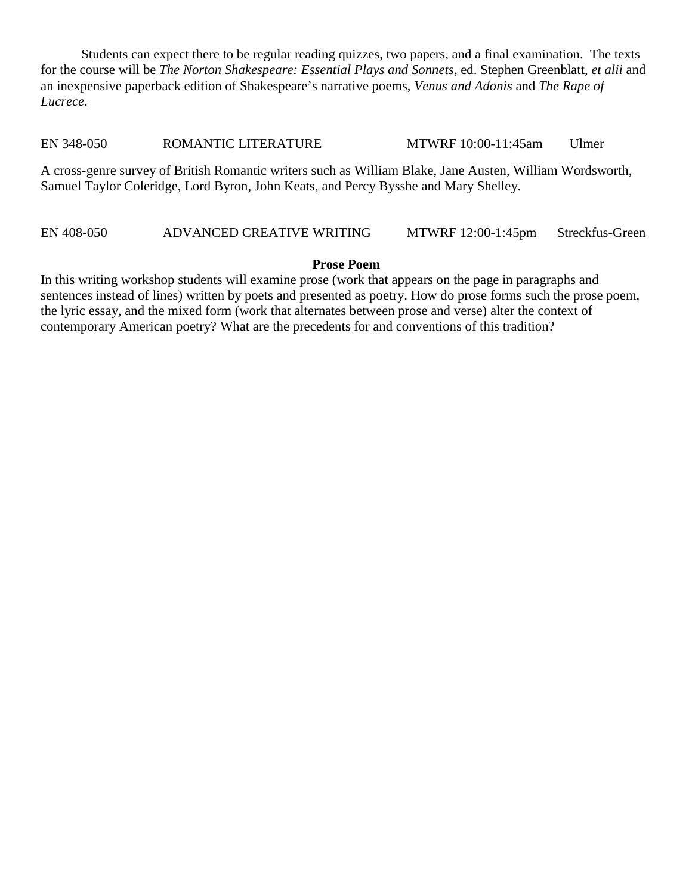Students can expect there to be regular reading quizzes, two papers, and a final examination. The texts for the course will be *The Norton Shakespeare: Essential Plays and Sonnets*, ed. Stephen Greenblatt, *et alii* and an inexpensive paperback edition of Shakespeare's narrative poems, *Venus and Adonis* and *The Rape of Lucrece*.

EN 348-050 ROMANTIC LITERATURE MTWRF 10:00-11:45am Ulmer

A cross-genre survey of British Romantic writers such as William Blake, Jane Austen, William Wordsworth, Samuel Taylor Coleridge, Lord Byron, John Keats, and Percy Bysshe and Mary Shelley.

# EN 408-050 ADVANCED CREATIVE WRITING MTWRF 12:00-1:45pm Streckfus-Green

### **Prose Poem**

In this writing workshop students will examine prose (work that appears on the page in paragraphs and sentences instead of lines) written by poets and presented as poetry. How do prose forms such the prose poem, the lyric essay, and the mixed form (work that alternates between prose and verse) alter the context of contemporary American poetry? What are the precedents for and conventions of this tradition?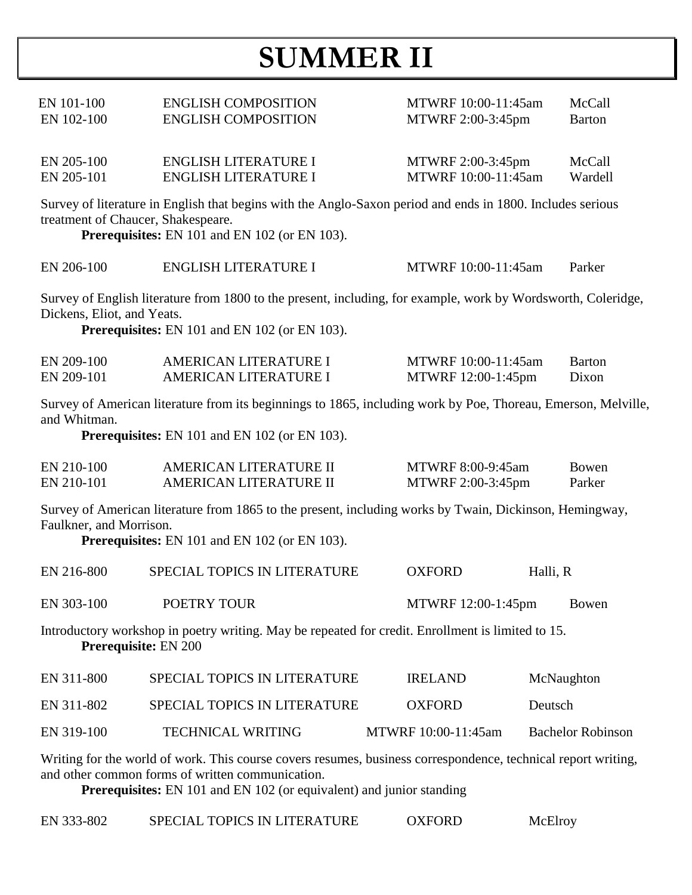# **SUMMER II**

| EN 101-100<br>EN 102-100                                                                                                                                                                                                                  | <b>ENGLISH COMPOSITION</b><br><b>ENGLISH COMPOSITION</b>                                                                                                           | MTWRF 10:00-11:45am<br>MTWRF 2:00-3:45pm  | McCall<br><b>Barton</b>  |  |
|-------------------------------------------------------------------------------------------------------------------------------------------------------------------------------------------------------------------------------------------|--------------------------------------------------------------------------------------------------------------------------------------------------------------------|-------------------------------------------|--------------------------|--|
| EN 205-100<br>EN 205-101                                                                                                                                                                                                                  | <b>ENGLISH LITERATURE I</b><br><b>ENGLISH LITERATURE I</b>                                                                                                         | MTWRF 2:00-3:45pm<br>MTWRF 10:00-11:45am  | McCall<br>Wardell        |  |
| treatment of Chaucer, Shakespeare.                                                                                                                                                                                                        | Survey of literature in English that begins with the Anglo-Saxon period and ends in 1800. Includes serious<br><b>Prerequisites:</b> EN 101 and EN 102 (or EN 103). |                                           |                          |  |
| EN 206-100                                                                                                                                                                                                                                | <b>ENGLISH LITERATURE I</b>                                                                                                                                        | MTWRF 10:00-11:45am                       | Parker                   |  |
| Survey of English literature from 1800 to the present, including, for example, work by Wordsworth, Coleridge,<br>Dickens, Eliot, and Yeats.<br><b>Prerequisites:</b> EN 101 and EN 102 (or EN 103).                                       |                                                                                                                                                                    |                                           |                          |  |
| EN 209-100<br>EN 209-101                                                                                                                                                                                                                  | AMERICAN LITERATURE I<br>AMERICAN LITERATURE I                                                                                                                     | MTWRF 10:00-11:45am<br>MTWRF 12:00-1:45pm | <b>Barton</b><br>Dixon   |  |
| Survey of American literature from its beginnings to 1865, including work by Poe, Thoreau, Emerson, Melville,<br>and Whitman.<br><b>Prerequisites:</b> EN 101 and EN 102 (or EN 103).                                                     |                                                                                                                                                                    |                                           |                          |  |
| EN 210-100<br>EN 210-101                                                                                                                                                                                                                  | AMERICAN LITERATURE II<br>AMERICAN LITERATURE II                                                                                                                   | MTWRF 8:00-9:45am<br>MTWRF 2:00-3:45pm    | Bowen<br>Parker          |  |
| Survey of American literature from 1865 to the present, including works by Twain, Dickinson, Hemingway,<br>Faulkner, and Morrison.<br><b>Prerequisites:</b> EN 101 and EN 102 (or EN 103).                                                |                                                                                                                                                                    |                                           |                          |  |
| EN 216-800                                                                                                                                                                                                                                | SPECIAL TOPICS IN LITERATURE                                                                                                                                       | <b>OXFORD</b>                             | Halli, R                 |  |
| EN 303-100                                                                                                                                                                                                                                | POETRY TOUR                                                                                                                                                        | MTWRF 12:00-1:45pm                        | Bowen                    |  |
| Introductory workshop in poetry writing. May be repeated for credit. Enrollment is limited to 15.<br>Prerequisite: EN 200                                                                                                                 |                                                                                                                                                                    |                                           |                          |  |
| EN 311-800                                                                                                                                                                                                                                | SPECIAL TOPICS IN LITERATURE                                                                                                                                       | <b>IRELAND</b>                            | McNaughton               |  |
| EN 311-802                                                                                                                                                                                                                                | SPECIAL TOPICS IN LITERATURE                                                                                                                                       | <b>OXFORD</b>                             | Deutsch                  |  |
| EN 319-100                                                                                                                                                                                                                                | <b>TECHNICAL WRITING</b>                                                                                                                                           | MTWRF 10:00-11:45am                       | <b>Bachelor Robinson</b> |  |
| Writing for the world of work. This course covers resumes, business correspondence, technical report writing,<br>and other common forms of written communication.<br>Prerequisites: EN 101 and EN 102 (or equivalent) and junior standing |                                                                                                                                                                    |                                           |                          |  |

EN 333-802 SPECIAL TOPICS IN LITERATURE OXFORD McElroy